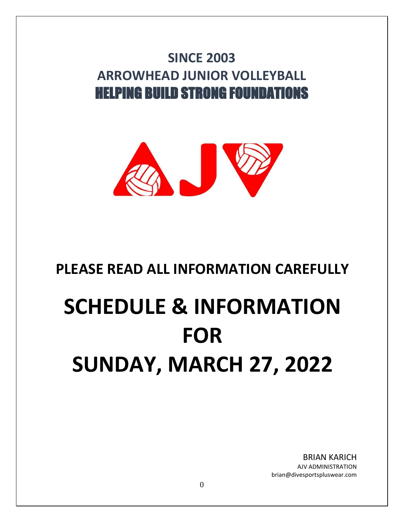## **SINCE 2003 ARROWHEAD JUNIOR VOLLEYBALL** HELPING BUILD STRONG FOUNDATIONS



### **PLEASE READ ALL INFORMATION CAREFULLY**

# **SCHEDULE & INFORMATION FOR SUNDAY, MARCH 27, 2022**

BRIAN KARICH AJV ADMINISTRATION brian@divesportspluswear.com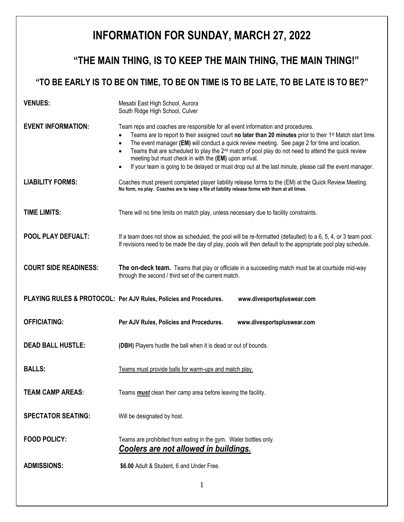### **INFORMATION FOR SUNDAY, MARCH 27, 2022**

### **"THE MAIN THING, IS TO KEEP THE MAIN THING, THE MAIN THING!"**

### **"TO BE EARLY IS TO BE ON TIME, TO BE ON TIME IS TO BE LATE, TO BE LATE IS TO BE?"**

| <b>VENUES:</b>               | Mesabi East High School, Aurora<br>South Ridge High School, Culver                                                                                                                                                                                                                                                                                                                                                                                                                                                                                                                    |  |  |
|------------------------------|---------------------------------------------------------------------------------------------------------------------------------------------------------------------------------------------------------------------------------------------------------------------------------------------------------------------------------------------------------------------------------------------------------------------------------------------------------------------------------------------------------------------------------------------------------------------------------------|--|--|
| <b>EVENT INFORMATION:</b>    | Team reps and coaches are responsible for all event information and procedures.<br>Teams are to report to their assigned court no later than 20 minutes prior to their 1 <sup>st</sup> Match start time.<br>The event manager (EM) will conduct a quick review meeting. See page 2 for time and location.<br>Teams that are scheduled to play the $2nd$ match of pool play do not need to attend the quick review<br>meeting but must check in with the (EM) upon arrival.<br>If your team is going to be delayed or must drop out at the last minute, please call the event manager. |  |  |
| <b>LIABILITY FORMS:</b>      | Coaches must present completed player liability release forms to the (EM) at the Quick Review Meeting.<br>No form, no play. Coaches are to keep a file of liability release forms with them at all times.                                                                                                                                                                                                                                                                                                                                                                             |  |  |
| <b>TIME LIMITS:</b>          | There will no time limits on match play, unless necessary due to facility constraints.                                                                                                                                                                                                                                                                                                                                                                                                                                                                                                |  |  |
| POOL PLAY DEFUALT:           | If a team does not show as scheduled, the pool will be re-formatted (defaulted) to a 6, 5, 4, or 3 team pool.<br>If revisions need to be made the day of play, pools will then default to the appropriate pool play schedule.                                                                                                                                                                                                                                                                                                                                                         |  |  |
| <b>COURT SIDE READINESS:</b> | The on-deck team. Teams that play or officiate in a succeeding match must be at courtside mid-way<br>through the second / third set of the current match.                                                                                                                                                                                                                                                                                                                                                                                                                             |  |  |
|                              | PLAYING RULES & PROTOCOL: Per AJV Rules, Policies and Procedures.<br>www.divesportspluswear.com                                                                                                                                                                                                                                                                                                                                                                                                                                                                                       |  |  |
| <b>OFFICIATING:</b>          | Per AJV Rules, Policies and Procedures.<br>www.divesportspluswear.com                                                                                                                                                                                                                                                                                                                                                                                                                                                                                                                 |  |  |
| <b>DEAD BALL HUSTLE:</b>     | (DBH) Players hustle the ball when it is dead or out of bounds.                                                                                                                                                                                                                                                                                                                                                                                                                                                                                                                       |  |  |
| <b>BALLS:</b>                | Teams must provide balls for warm-ups and match play.                                                                                                                                                                                                                                                                                                                                                                                                                                                                                                                                 |  |  |
| <b>TEAM CAMP AREAS:</b>      | Teams <b>must</b> clean their camp area before leaving the facility.                                                                                                                                                                                                                                                                                                                                                                                                                                                                                                                  |  |  |
| <b>SPECTATOR SEATING:</b>    | Will be designated by host.                                                                                                                                                                                                                                                                                                                                                                                                                                                                                                                                                           |  |  |
| <b>FOOD POLICY:</b>          | Teams are prohibited from eating in the gym. Water bottles only.<br>Coolers are not allowed in buildings.                                                                                                                                                                                                                                                                                                                                                                                                                                                                             |  |  |
|                              |                                                                                                                                                                                                                                                                                                                                                                                                                                                                                                                                                                                       |  |  |
| <b>ADMISSIONS:</b>           | \$6.00 Adult & Student, 6 and Under Free.                                                                                                                                                                                                                                                                                                                                                                                                                                                                                                                                             |  |  |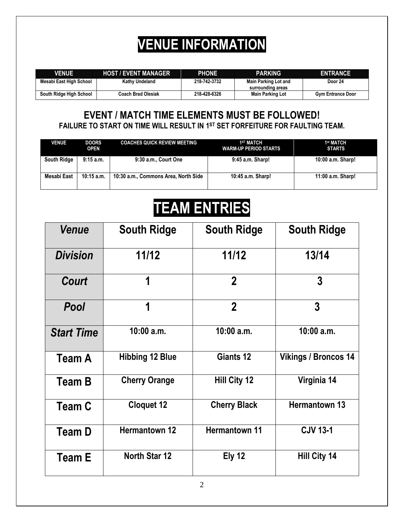## **VENUE INFORMATION**

| <b>VENUE</b>            | <b>HOST / EVENT MANAGER</b> | <b>PHONE</b> | <b>PARKING</b>                                   | <b>ENTRANCE</b>          |
|-------------------------|-----------------------------|--------------|--------------------------------------------------|--------------------------|
| Mesabi East High School | Kathy Undeland              | 218 742 3732 | <b>Main Parking Lot and</b><br>surrounding areas | Door 24                  |
| South Ridge High School | <b>Coach Brad Olesiak</b>   | 218-428-6326 | <b>Main Parking Lot</b>                          | <b>Gym Entrance Door</b> |
|                         |                             |              |                                                  |                          |

#### **EVENT / MATCH TIME ELEMENTS MUST BE FOLLOWED! FAILURE TO START ON TIME WILL RESULT IN 1 ST SET FORFEITURE FOR FAULTING TEAM.**

| <b>VENUE</b>       | <b>DOORS</b><br><b>OPEN</b> | <b>COACHES QUICK REVIEW MEETING</b>  | <b>1ST MATCH</b><br><b>WARM-UP PERIOD STARTS</b> | 1st MATCH<br><b>STARTS</b> |
|--------------------|-----------------------------|--------------------------------------|--------------------------------------------------|----------------------------|
| <b>South Ridge</b> | $9:15$ a.m.                 | 9:30 a.m., Court One                 | 9:45 a.m. Sharp!                                 | 10:00 a.m. Sharp!          |
| Mesabi East        | $10:15$ a.m.                | 10:30 a.m., Commons Area, North Side | 10:45 a.m. Sharp!                                | 11:00 a.m. Sharp!          |

## **TEAM ENTRIES**

| Venue             | <b>South Ridge</b>     | <b>South Ridge</b>   | <b>South Ridge</b>          |
|-------------------|------------------------|----------------------|-----------------------------|
| <b>Division</b>   | 11/12                  | 11/12                | 13/14                       |
| <b>Court</b>      | 1                      | $\overline{2}$       | $\overline{3}$              |
| <b>Pool</b>       | 1                      | $\boldsymbol{2}$     | 3                           |
| <b>Start Time</b> | 10:00 a.m.             | $10:00$ a.m.         | $10:00$ a.m.                |
| <b>Team A</b>     | <b>Hibbing 12 Blue</b> | Giants 12            | <b>Vikings / Broncos 14</b> |
| <b>Team B</b>     | <b>Cherry Orange</b>   | Hill City 12         | Virginia 14                 |
| <b>Team C</b>     | <b>Cloquet 12</b>      | <b>Cherry Black</b>  | <b>Hermantown 13</b>        |
| Team D            | <b>Hermantown 12</b>   | <b>Hermantown 11</b> | <b>CJV 13-1</b>             |
| <b>Team E</b>     | North Star 12          | <b>Ely 12</b>        | Hill City 14                |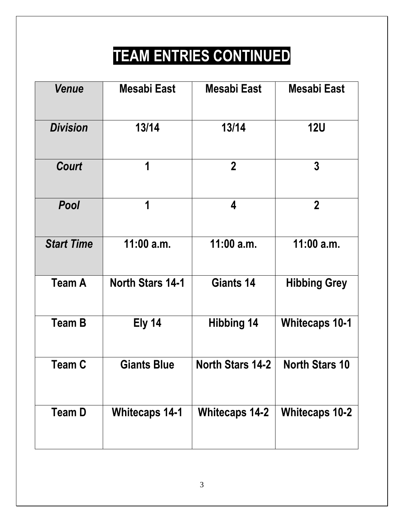## **TEAM ENTRIES CONTINUED**

| Venue             | <b>Mesabi East</b>      | Mesabi East             | Mesabi East           |
|-------------------|-------------------------|-------------------------|-----------------------|
| <b>Division</b>   | 13/14                   | 13/14                   | <b>12U</b>            |
| <b>Court</b>      | 1                       | $\overline{2}$          | $\overline{3}$        |
| <b>Pool</b>       | 1                       | 4                       | $\overline{2}$        |
| <b>Start Time</b> | $11:00$ a.m.            | 11:00 a.m.              | $11:00$ a.m.          |
| <b>Team A</b>     | <b>North Stars 14-1</b> | Giants 14               | <b>Hibbing Grey</b>   |
| <b>Team B</b>     | Ely 14                  | <b>Hibbing 14</b>       | <b>Whitecaps 10-1</b> |
| Team C            | <b>Giants Blue</b>      | <b>North Stars 14-2</b> | <b>North Stars 10</b> |
| <b>Team D</b>     | <b>Whitecaps 14-1</b>   | <b>Whitecaps 14-2</b>   | <b>Whitecaps 10-2</b> |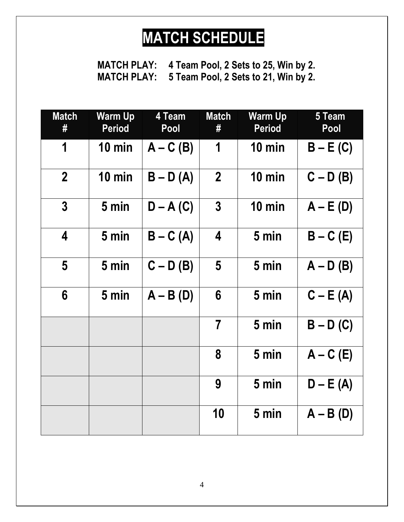## **MATCH SCHEDULE**

**MATCH PLAY: 4 Team Pool, 2 Sets to 25, Win by 2. MATCH PLAY: 5 Team Pool, 2 Sets to 21, Win by 2.**

| <b>Match</b><br>#       | <b>Warm Up</b><br><b>Period</b> | 4 Team<br>Pool | <b>Match</b><br># | <b>Warm Up</b><br><b>Period</b> | 5 Team<br>Pool |
|-------------------------|---------------------------------|----------------|-------------------|---------------------------------|----------------|
| 1                       | $10 \text{ min}$                | $A - C(B)$     | 1                 | $10 \text{ min}$                | $B - E(C)$     |
| $\boldsymbol{2}$        | $10 \text{ min}$                | $B - D(A)$     | $\overline{2}$    | $10 \text{ min}$                | $C - D(B)$     |
| $\mathbf 3$             | 5 min                           | $D - A (C)$    | $\overline{3}$    | $10 \text{ min}$                | $A - E(D)$     |
| $\overline{\mathbf{4}}$ | 5 min                           | $B - C(A)$     | 4                 | 5 min                           | $B - C$ (E)    |
| 5                       | 5 min                           | $C - D(B)$     | 5                 | 5 min                           | $A - D(B)$     |
| $6\phantom{1}$          | 5 min                           | $A - B(D)$     | 6                 | 5 min                           | $C - E(A)$     |
|                         |                                 |                | $\overline{7}$    | 5 min                           | $B - D(C)$     |
|                         |                                 |                | 8                 | 5 min                           | $A - C$ (E)    |
|                         |                                 |                | 9                 | 5 min                           | $D - E(A)$     |
|                         |                                 |                | 10                | 5 min                           | $A - B(D)$     |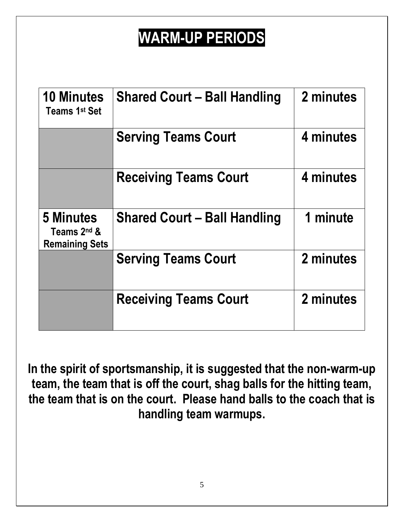## **WARM-UP PERIODS**

| <b>10 Minutes</b><br>Teams 1st Set                | <b>Shared Court - Ball Handling</b> | 2 minutes |
|---------------------------------------------------|-------------------------------------|-----------|
|                                                   | <b>Serving Teams Court</b>          | 4 minutes |
|                                                   | <b>Receiving Teams Court</b>        | 4 minutes |
| 5 Minutes<br>Teams 2nd &<br><b>Remaining Sets</b> | <b>Shared Court - Ball Handling</b> | 1 minute  |
|                                                   | <b>Serving Teams Court</b>          | 2 minutes |
|                                                   | <b>Receiving Teams Court</b>        | 2 minutes |

**In the spirit of sportsmanship, it is suggested that the non-warm-up team, the team that is off the court, shag balls for the hitting team, the team that is on the court. Please hand balls to the coach that is handling team warmups.**